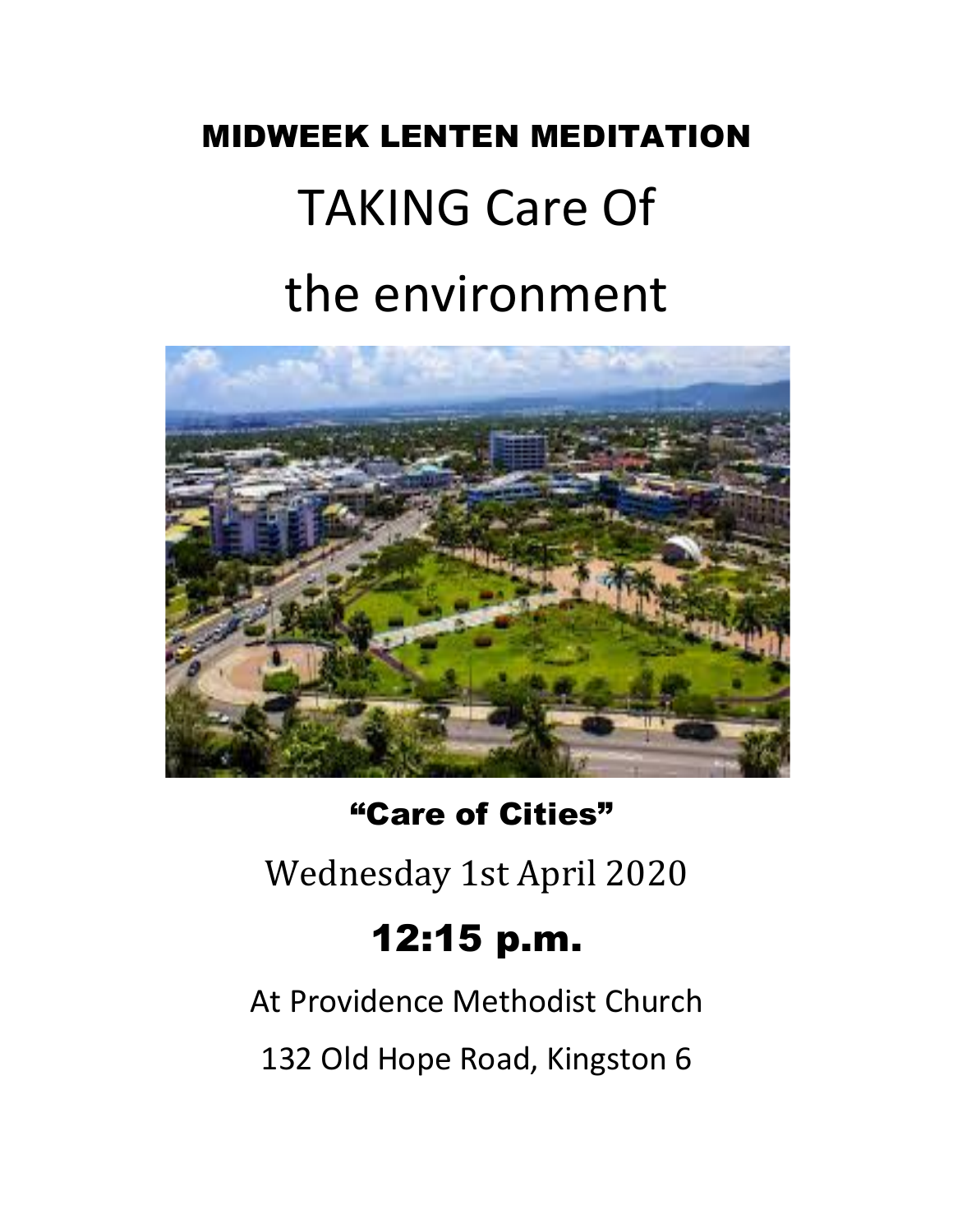# MIDWEEK LENTEN MEDITATION TAKING Care Of the environment



"Care of Cities"

Wednesday 1st April 2020

## 12:15 p.m.

At Providence Methodist Church

132 Old Hope Road, Kingston 6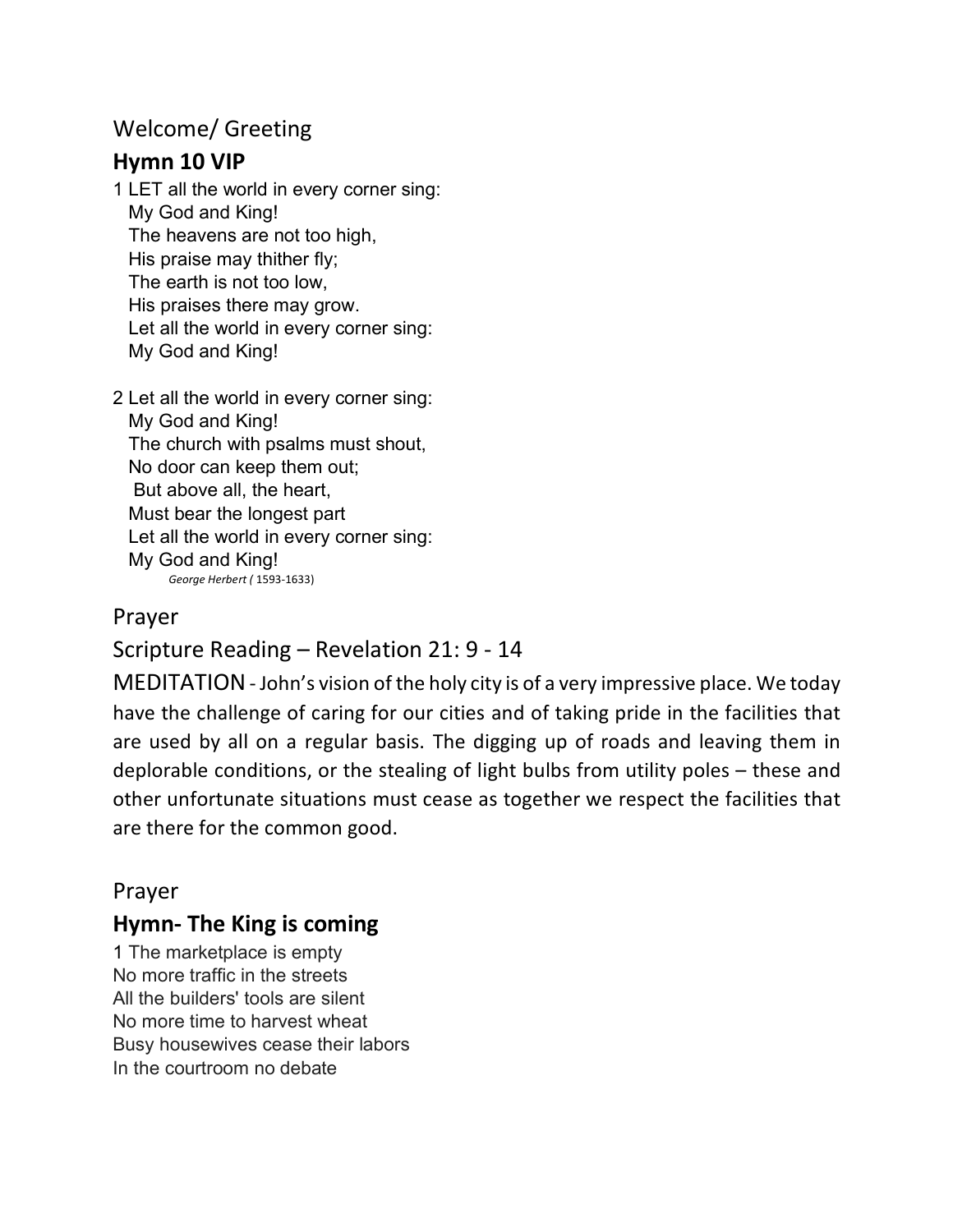### Welcome/ Greeting

#### **Hymn 10 VIP**

1 LET all the world in every corner sing: My God and King! The heavens are not too high, His praise may thither fly; The earth is not too low, His praises there may grow. Let all the world in every corner sing: My God and King!

2 Let all the world in every corner sing: My God and King! The church with psalms must shout, No door can keep them out; But above all, the heart, Must bear the longest part Let all the world in every corner sing: My God and King! *George Herbert (* 1593-1633)

#### Prayer

#### Scripture Reading – Revelation 21: 9 - 14

MEDITATION- John's vision of the holy city is of a very impressive place. We today have the challenge of caring for our cities and of taking pride in the facilities that are used by all on a regular basis. The digging up of roads and leaving them in deplorable conditions, or the stealing of light bulbs from utility poles – these and other unfortunate situations must cease as together we respect the facilities that are there for the common good.

#### Prayer

#### **Hymn- The King is coming**

1 The marketplace is empty No more traffic in the streets All the builders' tools are silent No more time to harvest wheat Busy housewives cease their labors In the courtroom no debate